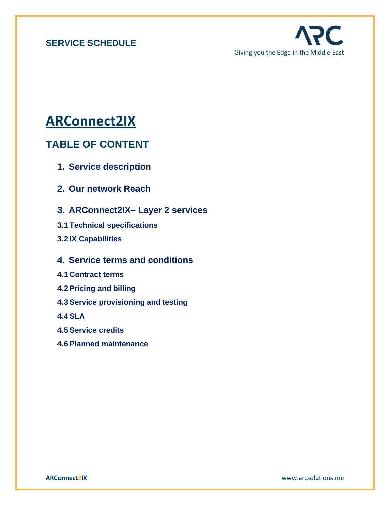

# **ARConnect2IX**

# **TABLE OF CONTENT**

- **1. Service description**
- **2. Our network Reach**
- **3. ARConnect2IX– Layer 2 services**
- **3.1 Technical specifications**
- **3.2 IX Capabilities**
- **4. Service terms and conditions**
- **4.1 Contract terms**
- **4.2 Pricing and billing**
- **4.3 Service provisioning and testing**

**4.4 SLA** 

- **4.5 Service credits**
- **4.6 Planned maintenance**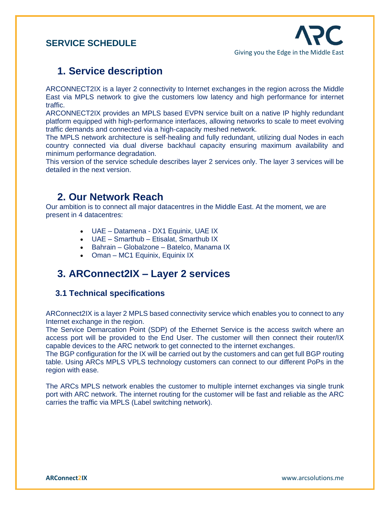# **1. Service description**

ARCONNECT2IX is a layer 2 connectivity to Internet exchanges in the region across the Middle East via MPLS network to give the customers low latency and high performance for internet traffic.

ARCONNECT2IX provides an MPLS based EVPN service built on a native IP highly redundant platform equipped with high-performance interfaces, allowing networks to scale to meet evolving traffic demands and connected via a high-capacity meshed network.

The MPLS network architecture is self-healing and fully redundant, utilizing dual Nodes in each country connected via dual diverse backhaul capacity ensuring maximum availability and minimum performance degradation.

This version of the service schedule describes layer 2 services only. The layer 3 services will be detailed in the next version.

# **2. Our Network Reach**

Our ambition is to connect all major datacentres in the Middle East. At the moment, we are present in 4 datacentres:

- UAE Datamena DX1 Equinix, UAE IX
- UAE Smarthub Etisalat, Smarthub IX
- Bahrain Globalzone Batelco, Manama IX
- Oman MC1 Equinix, Equinix IX

# **3. ARConnect2IX – Layer 2 services**

#### **3.1 Technical specifications**

ARConnect2IX is a layer 2 MPLS based connectivity service which enables you to connect to any Internet exchange in the region.

The Service Demarcation Point (SDP) of the Ethernet Service is the access switch where an access port will be provided to the End User. The customer will then connect their router/IX capable devices to the ARC network to get connected to the internet exchanges.

The BGP configuration for the IX will be carried out by the customers and can get full BGP routing table. Using ARCs MPLS VPLS technology customers can connect to our different PoPs in the region with ease.

The ARCs MPLS network enables the customer to multiple internet exchanges via single trunk port with ARC network. The internet routing for the customer will be fast and reliable as the ARC carries the traffic via MPLS (Label switching network).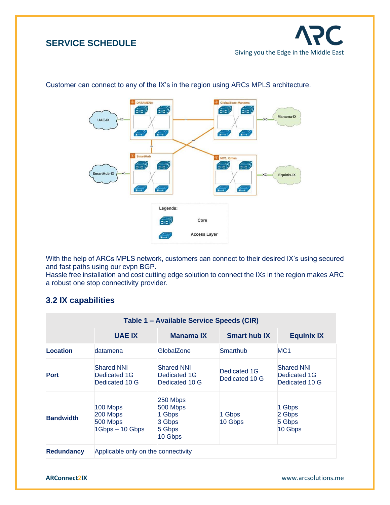



#### Customer can connect to any of the IX's in the region using ARCs MPLS architecture.

With the help of ARCs MPLS network, customers can connect to their desired IX's using secured and fast paths using our evpn BGP.

Hassle free installation and cost cutting edge solution to connect the IXs in the region makes ARC a robust one stop connectivity provider.

### **3.2 IX capabilities**

| Table 1 – Available Service Speeds (CIR) |                                                     |                                                               |                                |                                                     |
|------------------------------------------|-----------------------------------------------------|---------------------------------------------------------------|--------------------------------|-----------------------------------------------------|
|                                          | <b>UAE IX</b>                                       | Manama IX                                                     | <b>Smart hub IX</b>            | <b>Equinix IX</b>                                   |
| Location                                 | datamena                                            | GlobalZone                                                    | Smarthub                       | MC <sub>1</sub>                                     |
| <b>Port</b>                              | <b>Shared NNI</b><br>Dedicated 1G<br>Dedicated 10 G | <b>Shared NNI</b><br>Dedicated 1G<br>Dedicated 10 G           | Dedicated 1G<br>Dedicated 10 G | <b>Shared NNI</b><br>Dedicated 1G<br>Dedicated 10 G |
| <b>Bandwidth</b>                         | 100 Mbps<br>200 Mbps<br>500 Mbps<br>1Gbps - 10 Gbps | 250 Mbps<br>500 Mbps<br>1 Gbps<br>3 Gbps<br>5 Gbps<br>10 Gbps | 1 Gbps<br>10 Gbps              | 1 Gbps<br>2 Gbps<br>5 Gbps<br>10 Gbps               |
| <b>Redundancy</b>                        | Applicable only on the connectivity                 |                                                               |                                |                                                     |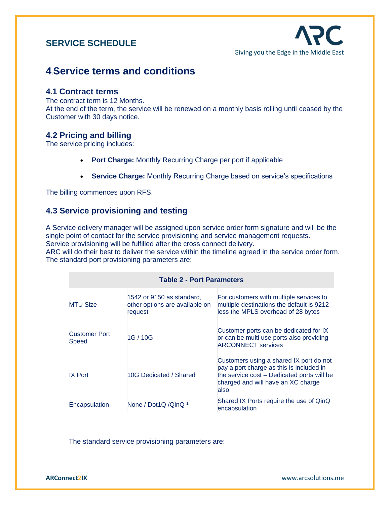# **4**.**Service terms and conditions**

#### **4**.**1 Contract terms**

The contract term is 12 Months. At the end of the term, the service will be renewed on a monthly basis rolling until ceased by the Customer with 30 days notice.

### **4.2 Pricing and billing**

The service pricing includes:

- **Port Charge:** Monthly Recurring Charge per port if applicable
- **Service Charge:** Monthly Recurring Charge based on service's specifications

The billing commences upon RFS.

### **4.3 Service provisioning and testing**

A Service delivery manager will be assigned upon service order form signature and will be the single point of contact for the service provisioning and service management requests. Service provisioning will be fulfilled after the cross connect delivery.

ARC will do their best to deliver the service within the timeline agreed in the service order form. The standard port provisioning parameters are:

| <b>Table 2 - Port Parameters</b>     |                                                                        |                                                                                                                                                                                 |  |
|--------------------------------------|------------------------------------------------------------------------|---------------------------------------------------------------------------------------------------------------------------------------------------------------------------------|--|
| <b>MTU Size</b>                      | 1542 or 9150 as standard,<br>other options are available on<br>request | For customers with multiple services to<br>multiple destinations the default is 9212<br>less the MPLS overhead of 28 bytes                                                      |  |
| <b>Customer Port</b><br><b>Speed</b> | 1G / 10G                                                               | Customer ports can be dedicated for IX<br>or can be multi use ports also providing<br><b>ARCONNECT</b> services                                                                 |  |
| <b>IX Port</b>                       | 10G Dedicated / Shared                                                 | Customers using a shared IX port do not<br>pay a port charge as this is included in<br>the service cost – Dedicated ports will be<br>charged and will have an XC charge<br>also |  |
| Encapsulation                        | None / Dot1Q / Qin Q 1                                                 | Shared IX Ports require the use of QinQ<br>encapsulation                                                                                                                        |  |

The standard service provisioning parameters are: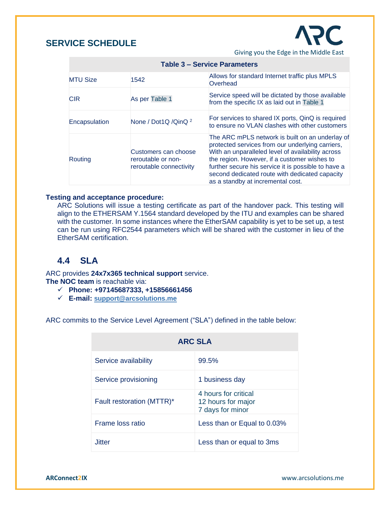

Giving you the Edge in the Middle East

| ו טוטופ ט $\sim$ ספו שוטפ די טו |                                                                       |                                                                                                                                                                                                                                                                                                                                                        |
|---------------------------------|-----------------------------------------------------------------------|--------------------------------------------------------------------------------------------------------------------------------------------------------------------------------------------------------------------------------------------------------------------------------------------------------------------------------------------------------|
| <b>MTU Size</b>                 | 1542                                                                  | Allows for standard Internet traffic plus MPLS<br>Overhead                                                                                                                                                                                                                                                                                             |
| <b>CIR</b>                      | As per Table 1                                                        | Service speed will be dictated by those available<br>from the specific IX as laid out in Table 1                                                                                                                                                                                                                                                       |
| Encapsulation                   | None / Dot1Q / Qin Q <sup>2</sup>                                     | For services to shared IX ports, QinQ is required<br>to ensure no VLAN clashes with other customers                                                                                                                                                                                                                                                    |
| Routing                         | Customers can choose<br>reroutable or non-<br>reroutable connectivity | The ARC mPLS network is built on an underlay of<br>protected services from our underlying carriers,<br>With an unparalleled level of availability across<br>the region. However, if a customer wishes to<br>further secure his service it is possible to have a<br>second dedicated route with dedicated capacity<br>as a standby at incremental cost. |

#### **Table 3 – Service Parameters**

#### **Testing and acceptance procedure:**

ARC Solutions will issue a testing certificate as part of the handover pack. This testing will align to the ETHERSAM Y.1564 standard developed by the ITU and examples can be shared with the customer. In some instances where the EtherSAM capability is yet to be set up, a test can be run using RFC2544 parameters which will be shared with the customer in lieu of the EtherSAM certification.

### **4.4 SLA**

ARC provides **24x7x365 technical support** service.

**The NOC team** is reachable via:

- ✓ **Phone: +97145687333, +15856661456**
- ✓ **E-mail: [support@arcsolutions.me](mailto:support@arcsolutions.me)**

ARC commits to the Service Level Agreement ("SLA") defined in the table below:

| <b>ARC SLA</b>            |                                                                |  |
|---------------------------|----------------------------------------------------------------|--|
| Service availability      | 99.5%                                                          |  |
| Service provisioning      | 1 business day                                                 |  |
| Fault restoration (MTTR)* | 4 hours for critical<br>12 hours for major<br>7 days for minor |  |
| Frame loss ratio          | Less than or Equal to 0.03%                                    |  |
| . litter                  | Less than or equal to 3ms                                      |  |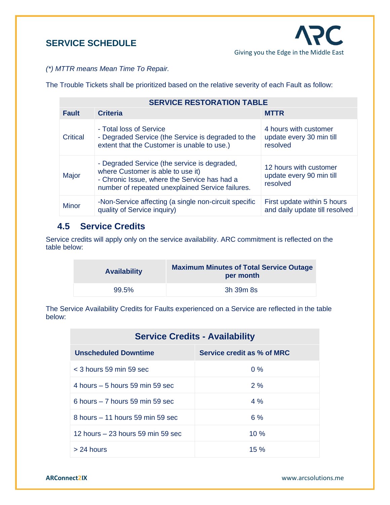*(\*) MTTR means Mean Time To Repair.*

The Trouble Tickets shall be prioritized based on the relative severity of each Fault as follow:

| <b>SERVICE RESTORATION TABLE</b> |                                                                                                                                                                                       |                                                                |
|----------------------------------|---------------------------------------------------------------------------------------------------------------------------------------------------------------------------------------|----------------------------------------------------------------|
| <b>Fault</b>                     | <b>Criteria</b>                                                                                                                                                                       | <b>MTTR</b>                                                    |
| <b>Critical</b>                  | - Total loss of Service<br>- Degraded Service (the Service is degraded to the<br>extent that the Customer is unable to use.)                                                          | 4 hours with customer<br>update every 30 min till<br>resolved  |
| Major                            | - Degraded Service (the service is degraded,<br>where Customer is able to use it)<br>- Chronic Issue, where the Service has had a<br>number of repeated unexplained Service failures. | 12 hours with customer<br>update every 90 min till<br>resolved |
| <b>Minor</b>                     | -Non-Service affecting (a single non-circuit specific<br>quality of Service inquiry)                                                                                                  | First update within 5 hours<br>and daily update till resolved  |

### **4.5 Service Credits**

Service credits will apply only on the service availability. ARC commitment is reflected on the table below:

| <b>Availability</b> | <b>Maximum Minutes of Total Service Outage</b><br>per month |
|---------------------|-------------------------------------------------------------|
| 99.5%               | 3h 39m 8s                                                   |

The Service Availability Credits for Faults experienced on a Service are reflected in the table below:

| <b>Service Credits - Availability</b> |                            |  |
|---------------------------------------|----------------------------|--|
| <b>Unscheduled Downtime</b>           | Service credit as % of MRC |  |
| $<$ 3 hours 59 min 59 sec             | $0\%$                      |  |
| 4 hours $-5$ hours 59 min 59 sec      | 2%                         |  |
| 6 hours $-7$ hours 59 min 59 sec      | 4%                         |  |
| $8$ hours $-11$ hours 59 min 59 sec   | 6%                         |  |
| 12 hours $-23$ hours 59 min 59 sec    | $10\%$                     |  |
| $> 24$ hours                          | $15 \%$                    |  |

**ARConnect2IX** www.arcsolutions.me